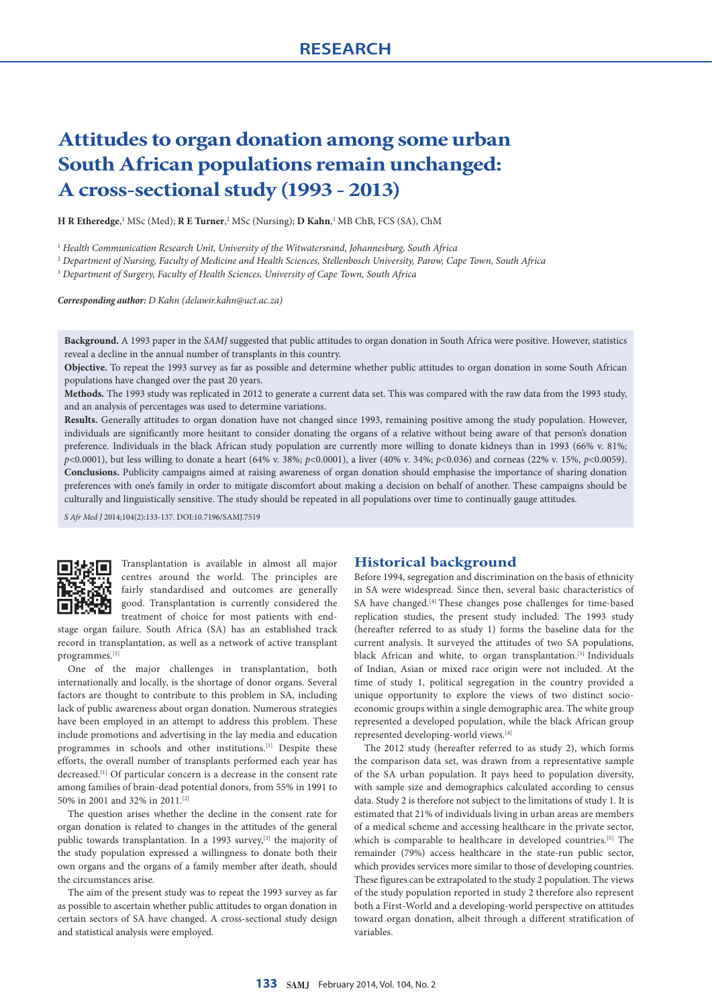# **Attitudes to organ donation among some urban South African populations remain unchanged: A cross-sectional study (1993 - 2013)**

**H R Etheredge**,<sup>1</sup> MSc (Med); **R E Turner**,<sup>2</sup> MSc (Nursing); **D Kahn**,<sup>3</sup> MB ChB, FCS (SA), ChM

<sup>1</sup> *Health Communication Research Unit, University of the Witwatersrand, Johannesburg, South Africa*

<sup>2</sup> *Department of Nursing, Faculty of Medicine and Health Sciences, Stellenbosch University, Parow, Cape Town, South Africa*

<sup>3</sup> *Department of Surgery, Faculty of Health Sciences, University of Cape Town, South Africa*

*Corresponding author: D Kahn ([delawir.kahn@uct.ac.za\)](mailto:delawir.kahn@uct.ac.za)*

**Background.** A 1993 paper in the *SAMJ* suggested that public attitudes to organ donation in South Africa were positive. However, statistics reveal a decline in the annual number of transplants in this country.

**Objective.** To repeat the 1993 survey as far as possible and determine whether public attitudes to organ donation in some South African populations have changed over the past 20 years.

**Methods.** The 1993 study was replicated in 2012 to generate a current data set. This was compared with the raw data from the 1993 study, and an analysis of percentages was used to determine variations.

**Results.** Generally attitudes to organ donation have not changed since 1993, remaining positive among the study population. However, individuals are significantly more hesitant to consider donating the organs of a relative without being aware of that person's donation preference. Individuals in the black African study population are currently more willing to donate kidneys than in 1993 (66% v. 81%; *p*<0.0001), but less willing to donate a heart (64% v. 38%; *p*<0.0001), a liver (40% v. 34%; *p*<0.036) and corneas (22% v. 15%, *p*<0.0059). **Conclusions.** Publicity campaigns aimed at raising awareness of organ donation should emphasise the importance of sharing donation preferences with one's family in order to mitigate discomfort about making a decision on behalf of another. These campaigns should be culturally and linguistically sensitive. The study should be repeated in all populations over time to continually gauge attitudes.

*S Afr Med J* 2014;104(2):133-137. DOI:10.7196/SAMJ.7519



Transplantation is available in almost all major centres around the world. The principles are fairly standardised and outcomes are generally good. Transplantation is currently considered the treatment of choice for most patients with end-

stage organ failure. South Africa (SA) has an established track record in transplantation, as well as a network of active transplant programmes.[1]

One of the major challenges in transplantation, both internationally and locally, is the shortage of donor organs. Several factors are thought to contribute to this problem in SA, including lack of public awareness about organ donation. Numerous strategies have been employed in an attempt to address this problem. These include promotions and advertising in the lay media and education programmes in schools and other institutions.<sup>[1]</sup> Despite these efforts, the overall number of transplants performed each year has decreased.[1] Of particular concern is a decrease in the consent rate among families of brain-dead potential donors, from 55% in 1991 to 50% in 2001 and 32% in 2011.[2]

The question arises whether the decline in the consent rate for organ donation is related to changes in the attitudes of the general public towards transplantation. In a 1993 survey,<sup>[3]</sup> the majority of the study population expressed a willingness to donate both their own organs and the organs of a family member after death, should the circumstances arise.

The aim of the present study was to repeat the 1993 survey as far as possible to ascertain whether public attitudes to organ donation in certain sectors of SA have changed. A cross-sectional study design and statistical analysis were employed.

## **Historical background**

Before 1994, segregation and discrimination on the basis of ethnicity in SA were widespread. Since then, several basic characteristics of SA have changed.<sup>[4]</sup> These changes pose challenges for time-based replication studies, the present study included. The 1993 study (hereafter referred to as study 1) forms the baseline data for the current analysis. It surveyed the attitudes of two SA populations, black African and white, to organ transplantation.[3] Individuals of Indian, Asian or mixed race origin were not included. At the time of study 1, political segregation in the country provided a unique opportunity to explore the views of two distinct socioeconomic groups within a single demographic area. The white group represented a developed population, while the black African group represented developing-world views.[4]

The 2012 study (hereafter referred to as study 2), which forms the comparison data set, was drawn from a representative sample of the SA urban population. It pays heed to population diversity, with sample size and demographics calculated according to census data. Study 2 is therefore not subject to the limitations of study 1. It is estimated that 21% of individuals living in urban areas are members of a medical scheme and accessing healthcare in the private sector, which is comparable to healthcare in developed countries.<sup>[5]</sup> The remainder (79%) access healthcare in the state-run public sector, which provides services more similar to those of developing countries. These figures can be extrapolated to the study 2 population. The views of the study population reported in study 2 therefore also represent both a First-World and a developing-world perspective on attitudes toward organ donation, albeit through a different stratification of variables.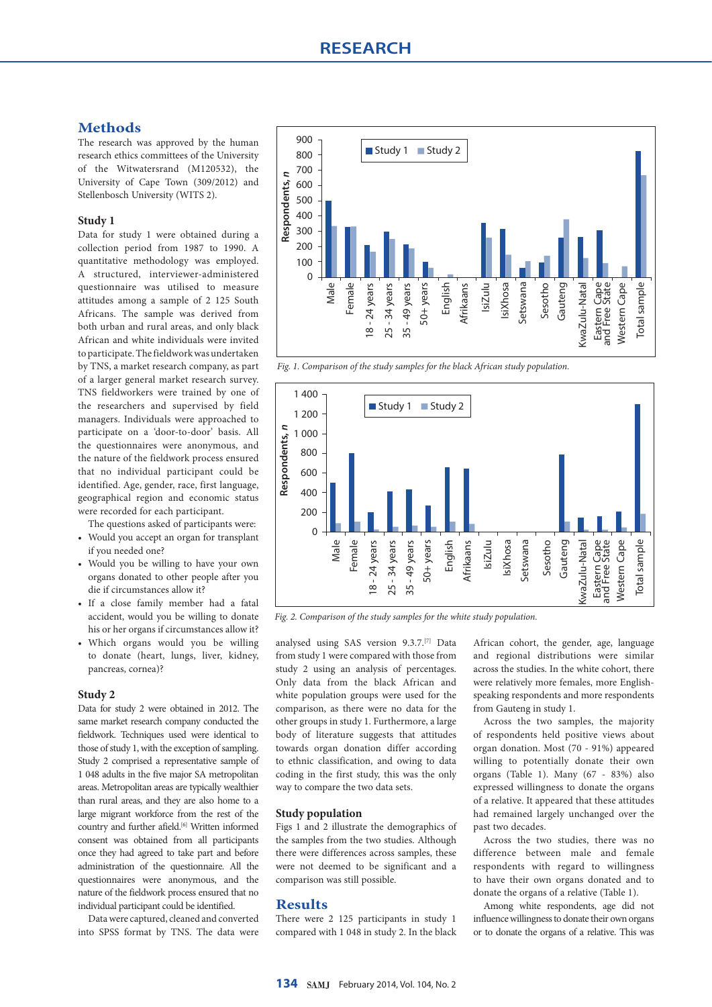## **Methods**

The research was approved by the human research ethics committees of the University of the Witwatersrand (M120532), the University of Cape Town (309/2012) and Stellenbosch University (WITS 2).

## **Study 1**

Data for study 1 were obtained during a collection period from 1987 to 1990. A quantitative methodology was employed. A structured, interviewer-administered questionnaire was utilised to measure attitudes among a sample of 2 125 South Africans. The sample was derived from both urban and rural areas, and only black African and white individuals were invited to participate. The fieldwork was undertaken by TNS, a market research company, as part of a larger general market research survey. TNS fieldworkers were trained by one of the researchers and supervised by field managers. Individuals were approached to participate on a 'door-to-door' basis. All the questionnaires were anonymous, and the nature of the fieldwork process ensured that no individual participant could be identified. Age, gender, race, first language, geographical region and economic status were recorded for each participant.

The questions asked of participants were:

- Would you accept an organ for transplant if you needed one?
- Would you be willing to have your own organs donated to other people after you die if circumstances allow it?
- If a close family member had a fatal accident, would you be willing to donate his or her organs if circumstances allow it?
- Which organs would you be willing to donate (heart, lungs, liver, kidney, pancreas, cornea)?

#### **Study 2**

Data for study 2 were obtained in 2012. The same market research company conducted the fieldwork. Techniques used were identical to those of study 1, with the exception of sampling. Study 2 comprised a representative sample of 1 048 adults in the five major SA metropolitan areas. Metropolitan areas are typically wealthier than rural areas, and they are also home to a large migrant workforce from the rest of the country and further afield.<sup>[6]</sup> Written informed consent was obtained from all participants once they had agreed to take part and before administration of the questionnaire. All the questionnaires were anonymous, and the nature of the fieldwork process ensured that no individual participant could be identified.

Data were captured, cleaned and converted into SPSS format by TNS. The data were



*Fig. 1. Comparison of the study samples for the black African study population.*



*Fig. 2. Comparison of the study samples for the white study population.*

analysed using SAS version 9.3.7.[7] Data from study 1 were compared with those from study 2 using an analysis of percentages. Only data from the black African and white population groups were used for the comparison, as there were no data for the other groups in study 1. Furthermore, a large body of literature suggests that attitudes towards organ donation differ according to ethnic classification, and owing to data coding in the first study, this was the only way to compare the two data sets.

## **Study population**

Figs 1 and 2 illustrate the demographics of the samples from the two studies. Although there were differences across samples, these were not deemed to be significant and a comparison was still possible.

## **Results**

There were 2 125 participants in study 1 compared with 1 048 in study 2. In the black African cohort, the gender, age, language and regional distributions were similar across the studies. In the white cohort, there were relatively more females, more Englishspeaking respondents and more respondents from Gauteng in study 1.

Across the two samples, the majority of respondents held positive views about organ donation. Most (70 - 91%) appeared willing to potentially donate their own organs (Table 1). Many (67 - 83%) also expressed willingness to donate the organs of a relative. It appeared that these attitudes had remained largely unchanged over the past two decades.

Across the two studies, there was no difference between male and female respondents with regard to willingness to have their own organs donated and to donate the organs of a relative (Table 1).

Among white respondents, age did not influence willingness to donate their own organs or to donate the organs of a relative. This was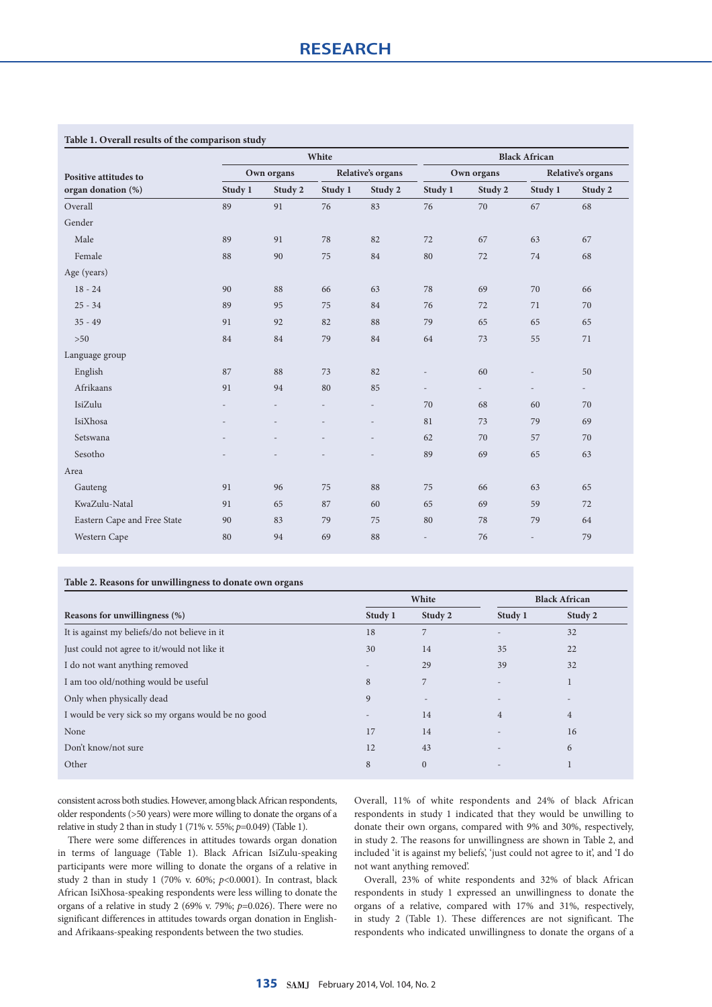|                                             |                          | White                    |                   |                          |                          | <b>Black African</b>     |                          |                          |  |
|---------------------------------------------|--------------------------|--------------------------|-------------------|--------------------------|--------------------------|--------------------------|--------------------------|--------------------------|--|
| Positive attitudes to<br>organ donation (%) | Own organs               |                          | Relative's organs |                          | Own organs               |                          | Relative's organs        |                          |  |
|                                             | Study 1                  | Study 2                  | Study 1           | Study 2                  | Study 1                  | Study 2                  | Study 1                  | Study 2                  |  |
| Overall                                     | 89                       | 91                       | 76                | 83                       | 76                       | 70                       | 67                       | 68                       |  |
| Gender                                      |                          |                          |                   |                          |                          |                          |                          |                          |  |
| Male                                        | 89                       | 91                       | 78                | 82                       | 72                       | 67                       | 63                       | 67                       |  |
| Female                                      | 88                       | 90                       | 75                | 84                       | 80                       | 72                       | 74                       | 68                       |  |
| Age (years)                                 |                          |                          |                   |                          |                          |                          |                          |                          |  |
| $18 - 24$                                   | 90                       | 88                       | 66                | 63                       | 78                       | 69                       | 70                       | 66                       |  |
| $25 - 34$                                   | 89                       | 95                       | 75                | 84                       | 76                       | 72                       | 71                       | 70                       |  |
| $35 - 49$                                   | 91                       | 92                       | 82                | 88                       | 79                       | 65                       | 65                       | 65                       |  |
| $>50$                                       | 84                       | 84                       | 79                | 84                       | 64                       | 73                       | 55                       | 71                       |  |
| Language group                              |                          |                          |                   |                          |                          |                          |                          |                          |  |
| English                                     | 87                       | 88                       | 73                | 82                       |                          | 60                       |                          | 50                       |  |
| Afrikaans                                   | 91                       | 94                       | 80                | 85                       | $\overline{\phantom{0}}$ | $\overline{\phantom{a}}$ | $\overline{a}$           | $\overline{\phantom{a}}$ |  |
| IsiZulu                                     | $\overline{\phantom{a}}$ | $\overline{\phantom{0}}$ | $\overline{a}$    | $\overline{\phantom{a}}$ | 70                       | 68                       | 60                       | 70                       |  |
| IsiXhosa                                    | $\overline{a}$           |                          |                   | $\overline{\phantom{a}}$ | 81                       | 73                       | 79                       | 69                       |  |
| Setswana                                    |                          |                          |                   | $\overline{a}$           | 62                       | 70                       | 57                       | 70                       |  |
| Sesotho                                     |                          |                          |                   |                          | 89                       | 69                       | 65                       | 63                       |  |
| Area                                        |                          |                          |                   |                          |                          |                          |                          |                          |  |
| Gauteng                                     | 91                       | 96                       | 75                | 88                       | 75                       | 66                       | 63                       | 65                       |  |
| KwaZulu-Natal                               | 91                       | 65                       | 87                | 60                       | 65                       | 69                       | 59                       | 72                       |  |
| Eastern Cape and Free State                 | 90                       | 83                       | 79                | 75                       | 80                       | 78                       | 79                       | 64                       |  |
| Western Cape                                | 80                       | 94                       | 69                | 88                       | $\overline{\phantom{a}}$ | 76                       | $\overline{\phantom{0}}$ | 79                       |  |

## **Table 1. Overall results of the comparison study**

## **Table 2. Reasons for unwillingness to donate own organs**

|                                                    |                          | White        | <b>Black African</b>     |                |
|----------------------------------------------------|--------------------------|--------------|--------------------------|----------------|
| Reasons for unwillingness (%)                      | Study 1                  | Study 2      | Study 1                  | Study 2        |
| It is against my beliefs/do not believe in it      | 18                       | 7            | $\overline{\phantom{a}}$ | 32             |
| Just could not agree to it/would not like it       | 30                       | 14           | 35                       | 22             |
| I do not want anything removed                     | $\overline{\phantom{a}}$ | 29           | 39                       | 32             |
| I am too old/nothing would be useful               | 8                        | 7            |                          | $\mathbf{1}$   |
| Only when physically dead                          | 9                        |              |                          |                |
| I would be very sick so my organs would be no good | $\overline{\phantom{a}}$ | 14           | 4                        | $\overline{4}$ |
|                                                    | 17                       | 14           |                          | 16             |
| Don't know/not sure                                | 12                       | 43           |                          | 6              |
|                                                    | 8                        | $\mathbf{0}$ | $\overline{\phantom{a}}$ |                |
|                                                    |                          |              |                          |                |

consistent across both studies. However, among black African respondents, older respondents (>50 years) were more willing to donate the organs of a relative in study 2 than in study 1 (71% v. 55%; *p*=0.049) (Table 1).

There were some differences in attitudes towards organ donation in terms of language (Table 1). Black African IsiZulu-speaking participants were more willing to donate the organs of a relative in study 2 than in study 1 (70% v. 60%; *p*<0.0001). In contrast, black African IsiXhosa-speaking respondents were less willing to donate the organs of a relative in study 2 (69% v. 79%; *p*=0.026). There were no significant differences in attitudes towards organ donation in Englishand Afrikaans-speaking respondents between the two studies.

Overall, 11% of white respondents and 24% of black African respondents in study 1 indicated that they would be unwilling to donate their own organs, compared with 9% and 30%, respectively, in study 2. The reasons for unwillingness are shown in Table 2, and included 'it is against my beliefs', 'just could not agree to it', and 'I do not want anything removed'.

Overall, 23% of white respondents and 32% of black African respondents in study 1 expressed an unwillingness to donate the organs of a relative, compared with 17% and 31%, respectively, in study 2 (Table 1). These differences are not significant. The respondents who indicated unwillingness to donate the organs of a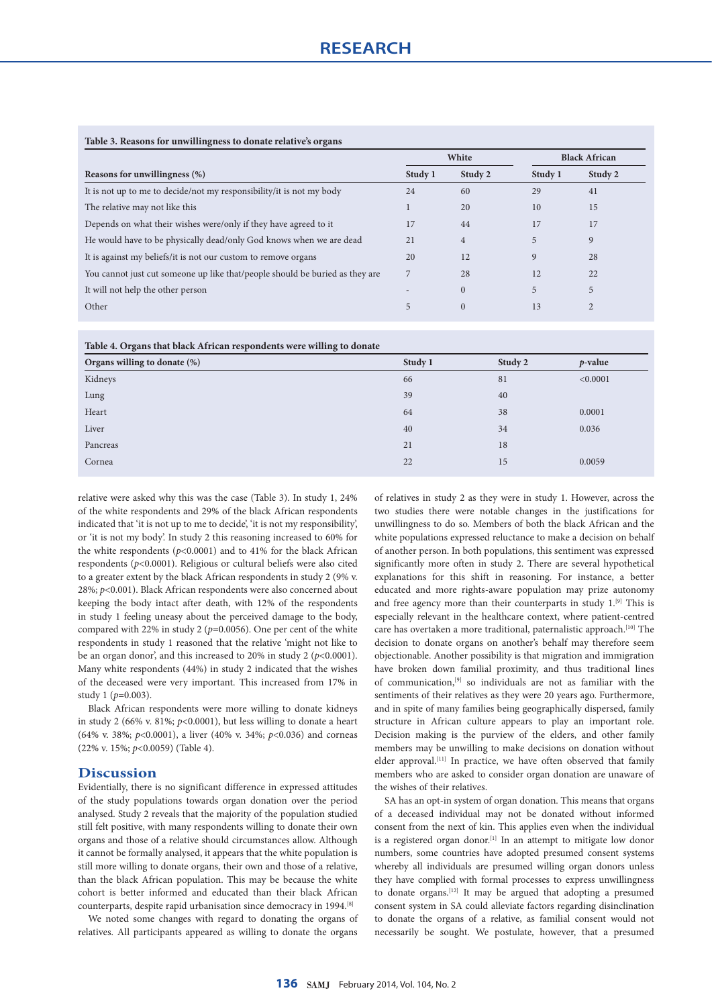## **Table 3. Reasons for unwillingness to donate relative's organs**

|                                                                              | White   |                | <b>Black African</b> |         |
|------------------------------------------------------------------------------|---------|----------------|----------------------|---------|
| Reasons for unwillingness (%)                                                | Study 1 | Study 2        | Study 1              | Study 2 |
| It is not up to me to decide/not my responsibility/it is not my body         | 24      | 60             | 29                   | 41      |
| The relative may not like this                                               |         | 20             | 10                   | 15      |
| Depends on what their wishes were/only if they have agreed to it             | 17      | 44             | 17                   | 17      |
| He would have to be physically dead/only God knows when we are dead          | 21      | $\overline{4}$ | 5                    | 9       |
| It is against my beliefs/it is not our custom to remove organs               | 20      | 12             | 9                    | 28      |
| You cannot just cut someone up like that/people should be buried as they are |         | 28             | 12                   | 22      |
| It will not help the other person                                            |         | $\overline{0}$ | 5                    | 5       |
| Other                                                                        | 5       | $\mathbf{0}$   | 13                   |         |

#### **Table 4. Organs that black African respondents were willing to donate**

| $\sim$<br>$\tilde{\phantom{a}}$ |         |         |            |
|---------------------------------|---------|---------|------------|
| Organs willing to donate (%)    | Study 1 | Study 2 | $p$ -value |
| Kidneys                         | 66      | 81      | < 0.0001   |
| Lung                            | 39      | 40      |            |
| Heart                           | 64      | 38      | 0.0001     |
| Liver                           | 40      | 34      | 0.036      |
| Pancreas                        | 21      | 18      |            |
| Cornea                          | 22      | 15      | 0.0059     |
|                                 |         |         |            |

relative were asked why this was the case (Table 3). In study 1, 24% of the white respondents and 29% of the black African respondents indicated that 'it is not up to me to decide', 'it is not my responsibility', or 'it is not my body'. In study 2 this reasoning increased to 60% for the white respondents ( $p$ <0.0001) and to 41% for the black African respondents (*p*<0.0001). Religious or cultural beliefs were also cited to a greater extent by the black African respondents in study 2 (9% v. 28%; *p*<0.001). Black African respondents were also concerned about keeping the body intact after death, with 12% of the respondents in study 1 feeling uneasy about the perceived damage to the body, compared with 22% in study 2 ( $p=0.0056$ ). One per cent of the white respondents in study 1 reasoned that the relative 'might not like to be an organ donor', and this increased to 20% in study 2 (*p*<0.0001). Many white respondents (44%) in study 2 indicated that the wishes of the deceased were very important. This increased from 17% in study 1 ( $p=0.003$ ).

Black African respondents were more willing to donate kidneys in study 2 (66% v. 81%;  $p<0.0001$ ), but less willing to donate a heart (64% v. 38%; *p*<0.0001), a liver (40% v. 34%; *p*<0.036) and corneas (22% v. 15%; *p*<0.0059) (Table 4).

## **Discussion**

Evidentially, there is no significant difference in expressed attitudes of the study populations towards organ donation over the period analysed. Study 2 reveals that the majority of the population studied still felt positive, with many respondents willing to donate their own organs and those of a relative should circumstances allow. Although it cannot be formally analysed, it appears that the white population is still more willing to donate organs, their own and those of a relative, than the black African population. This may be because the white cohort is better informed and educated than their black African counterparts, despite rapid urbanisation since democracy in 1994.[8]

We noted some changes with regard to donating the organs of relatives. All participants appeared as willing to donate the organs

of relatives in study 2 as they were in study 1. However, across the two studies there were notable changes in the justifications for unwillingness to do so. Members of both the black African and the white populations expressed reluctance to make a decision on behalf of another person. In both populations, this sentiment was expressed significantly more often in study 2. There are several hypothetical explanations for this shift in reasoning. For instance, a better educated and more rights-aware population may prize autonomy and free agency more than their counterparts in study  $1.^{[9]}$  This is especially relevant in the healthcare context, where patient-centred care has overtaken a more traditional, paternalistic approach.[10] The decision to donate organs on another's behalf may therefore seem objectionable. Another possibility is that migration and immigration have broken down familial proximity, and thus traditional lines of communication, $[9]$  so individuals are not as familiar with the sentiments of their relatives as they were 20 years ago. Furthermore, and in spite of many families being geographically dispersed, family structure in African culture appears to play an important role. Decision making is the purview of the elders, and other family members may be unwilling to make decisions on donation without elder approval.<sup>[11]</sup> In practice, we have often observed that family members who are asked to consider organ donation are unaware of the wishes of their relatives.

SA has an opt-in system of organ donation. This means that organs of a deceased individual may not be donated without informed consent from the next of kin. This applies even when the individual is a registered organ donor.<sup>[1]</sup> In an attempt to mitigate low donor numbers, some countries have adopted presumed consent systems whereby all individuals are presumed willing organ donors unless they have complied with formal processes to express unwillingness to donate organs.[12] It may be argued that adopting a presumed consent system in SA could alleviate factors regarding disinclination to donate the organs of a relative, as familial consent would not necessarily be sought. We postulate, however, that a presumed